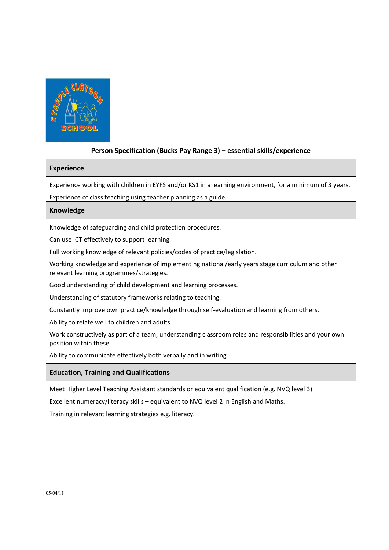

# Person Specification (Bucks Pay Range 3) – essential skills/experience

#### Experience

Experience working with children in EYFS and/or KS1 in a learning environment, for a minimum of 3 years.

Experience of class teaching using teacher planning as a guide.

#### Knowledge

Knowledge of safeguarding and child protection procedures.

Can use ICT effectively to support learning.

Full working knowledge of relevant policies/codes of practice/legislation.

Working knowledge and experience of implementing national/early years stage curriculum and other relevant learning programmes/strategies.

Good understanding of child development and learning processes.

Understanding of statutory frameworks relating to teaching.

Constantly improve own practice/knowledge through self-evaluation and learning from others.

Ability to relate well to children and adults.

Work constructively as part of a team, understanding classroom roles and responsibilities and your own position within these.

Ability to communicate effectively both verbally and in writing.

### Education, Training and Qualifications

Meet Higher Level Teaching Assistant standards or equivalent qualification (e.g. NVQ level 3).

Excellent numeracy/literacy skills – equivalent to NVQ level 2 in English and Maths.

Training in relevant learning strategies e.g. literacy.